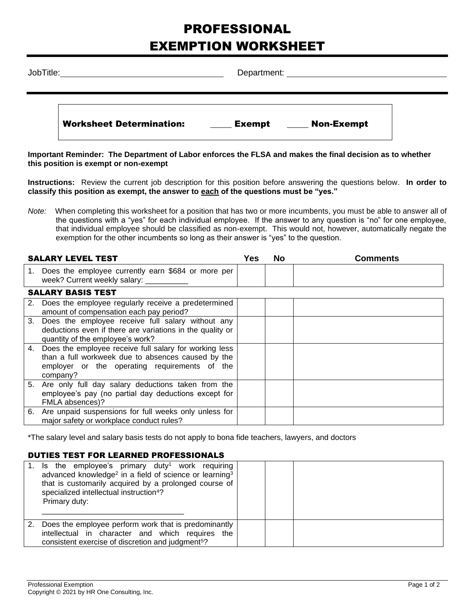## PROFESSIONAL EXEMPTION WORKSHEET

| JobTitle: |                                 | Department: explorer and the contract of the contract of the contract of the contract of the contract of the contract of the contract of the contract of the contract of the contract of the contract of the contract of the c |  |
|-----------|---------------------------------|--------------------------------------------------------------------------------------------------------------------------------------------------------------------------------------------------------------------------------|--|
|           | <b>Worksheet Determination:</b> | <b>Non-Exempt</b><br>Exempt                                                                                                                                                                                                    |  |

**Important Reminder: The Department of Labor enforces the FLSA and makes the final decision as to whether this position is exempt or non-exempt**

**Instructions:** Review the current job description for this position before answering the questions below. **In order to classify this position as exempt, the answer to each of the questions must be "yes."**

*Note:* When completing this worksheet for a position that has two or more incumbents, you must be able to answer all of the questions with a "yes" for each individual employee. If the answer to any question is "no" for one employee, that individual employee should be classified as non-exempt. This would not, however, automatically negate the exemption for the other incumbents so long as their answer is "yes" to the question.

|    | <b>SALARY LEVEL TEST</b>                                                                                                                                                     | Yes | No | <b>Comments</b> |
|----|------------------------------------------------------------------------------------------------------------------------------------------------------------------------------|-----|----|-----------------|
|    | 1. Does the employee currently earn \$684 or more per<br>week? Current weekly salary: __________                                                                             |     |    |                 |
|    | <b>SALARY BASIS TEST</b>                                                                                                                                                     |     |    |                 |
| 2. | Does the employee regularly receive a predetermined<br>amount of compensation each pay period?                                                                               |     |    |                 |
|    | 3. Does the employee receive full salary without any<br>deductions even if there are variations in the quality or<br>quantity of the employee's work?                        |     |    |                 |
|    | 4. Does the employee receive full salary for working less<br>than a full workweek due to absences caused by the<br>employer or the operating requirements of the<br>company? |     |    |                 |
| 5. | Are only full day salary deductions taken from the<br>employee's pay (no partial day deductions except for<br>FMLA absences)?                                                |     |    |                 |
|    | 6. Are unpaid suspensions for full weeks only unless for<br>major safety or workplace conduct rules?                                                                         |     |    |                 |

\*The salary level and salary basis tests do not apply to bona fide teachers, lawyers, and doctors

## DUTIES TEST FOR LEARNED PROFESSIONALS

| Is the employee's primary duty <sup>1</sup> work requiring<br>advanced knowledge <sup>2</sup> in a field of science or learning <sup>3</sup><br>that is customarily acquired by a prolonged course of<br>specialized intellectual instruction <sup>4</sup> ?<br>Primary duty: |  |  |
|-------------------------------------------------------------------------------------------------------------------------------------------------------------------------------------------------------------------------------------------------------------------------------|--|--|
| Does the employee perform work that is predominantly<br>intellectual in character and which requires the<br>consistent exercise of discretion and judgment <sup>5</sup> ?                                                                                                     |  |  |